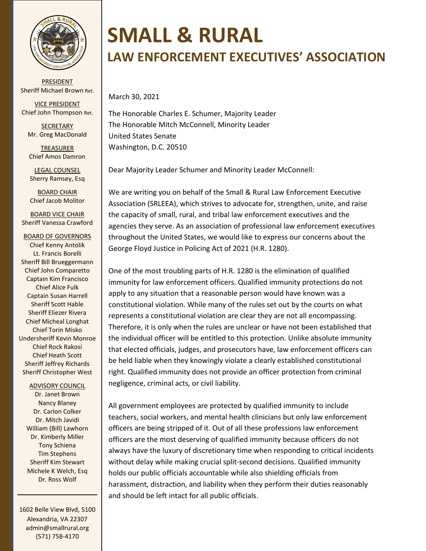

PRESIDENT Sheriff Michael Brown Ret.

VICE PRESIDENT Chief John Thompson Ret.

**SECRETARY** Mr. Greg MacDonald

TREASURER Chief Amos Damron

LEGAL COUNSEL Sherry Ramsey, Esq

BOARD CHAIR Chief Jacob Molitor

BOARD VICE CHAIR Sheriff Vanessa Crawford

BOARD OF GOVERNORS Chief Kenny Antolik Lt. Francis Borelli Sheriff Bill Brueggermann Chief John Comparetto Captain Kim Francisco Chief Alice Fulk Captain Susan Harrell Sheriff Scott Hable Sheriff Eliezer Rivera Chief Micheal Longhat Chief Torin Misko Undersheriff Kevin Monroe Chief Rock Rakosi Chief Heath Scott Sheriff Jeffrey Richards Sheriff Christopher West

ADVISORY COUNCIL

Dr. Janet Brown Nancy Blaney Dr. Carlon Colker Dr. Mitch Javidi William (Bill) Lawhorn Dr. Kimberly Miller Tony Schiena Tim Stephens Sheriff Kim Stewart Michele K Welch, Esq Dr. Ross Wolf

1602 Belle View Blvd, 5100 Alexandria, VA 22307 admin@smallrural.org (571) 758-4170

## **SMALL & RURAL**

## **LAW ENFORCEMENT EXECUTIVES' ASSOCIATION**

March 30, 2021

The Honorable Charles E. Schumer, Majority Leader The Honorable Mitch McConnell, Minority Leader United States Senate Washington, D.C. 20510

Dear Majority Leader Schumer and Minority Leader McConnell:

We are writing you on behalf of the Small & Rural Law Enforcement Executive Association (SRLEEA), which strives to advocate for, strengthen, unite, and raise the capacity of small, rural, and tribal law enforcement executives and the agencies they serve. As an association of professional law enforcement executives throughout the United States, we would like to express our concerns about the George Floyd Justice in Policing Act of 2021 (H.R. 1280).

One of the most troubling parts of H.R. 1280 is the elimination of qualified immunity for law enforcement officers. Qualified immunity protections do not apply to any situation that a reasonable person would have known was a constitutional violation. While many of the rules set out by the courts on what represents a constitutional violation are clear they are not all encompassing. Therefore, it is only when the rules are unclear or have not been established that the individual officer will be entitled to this protection. Unlike absolute immunity that elected officials, judges, and prosecutors have, law enforcement officers can be held liable when they knowingly violate a clearly established constitutional right. Qualified immunity does not provide an officer protection from criminal negligence, criminal acts, or civil liability.

All government employees are protected by qualified immunity to include teachers, social workers, and mental health clinicians but only law enforcement officers are being stripped of it. Out of all these professions law enforcement officers are the most deserving of qualified immunity because officers do not always have the luxury of discretionary time when responding to critical incidents without delay while making crucial split-second decisions. Qualified immunity holds our public officials accountable while also shielding officials from harassment, distraction, and liability when they perform their duties reasonably and should be left intact for all public officials.